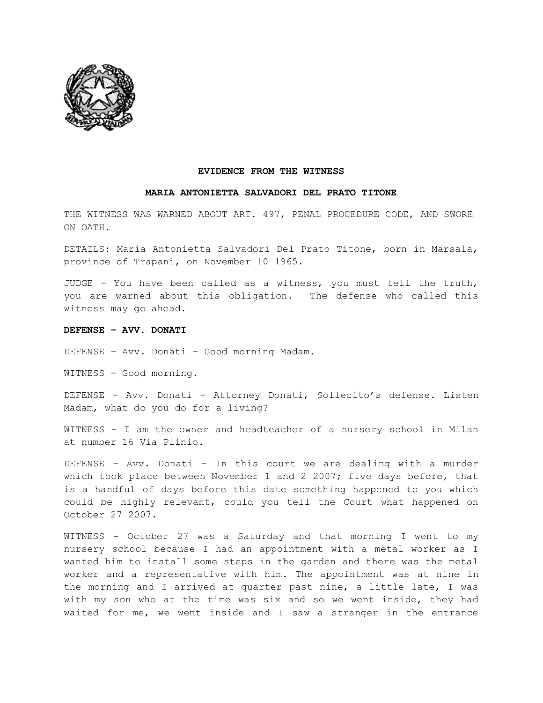

#### **EVIDENCE FROM THE WITNESS**

## **MARIA ANTONIETTA SALVADORI DEL PRATO TITONE**

THE WITNESS WAS WARNED ABOUT ART. 497, PENAL PROCEDURE CODE, AND SWORE ON OATH.

DETAILS: Maria Antonietta Salvadori Del Prato Titone, born in Marsala, province of Trapani, on November 10 1965.

JUDGE – You have been called as a witness, you must tell the truth, you are warned about this obligation. The defense who called this witness may go ahead.

#### **DEFENSE – AVV. DONATI**

DEFENSE – Avv. Donati – Good morning Madam.

WITNESS – Good morning.

DEFENSE – Avv. Donati – Attorney Donati, Sollecito's defense. Listen Madam, what do you do for a living?

WITNESS – I am the owner and headteacher of a nursery school in Milan at number 16 Via Plinio.

DEFENSE – Avv. Donati – In this court we are dealing with a murder which took place between November 1 and 2 2007; five days before, that is a handful of days before this date something happened to you which could be highly relevant, could you tell the Court what happened on October 27 2007.

WITNESS - October 27 was a Saturday and that morning I went to my nursery school because I had an appointment with a metal worker as I wanted him to install some steps in the garden and there was the metal worker and a representative with him. The appointment was at nine in the morning and I arrived at quarter past nine, a little late, I was with my son who at the time was six and so we went inside, they had waited for me, we went inside and I saw a stranger in the entrance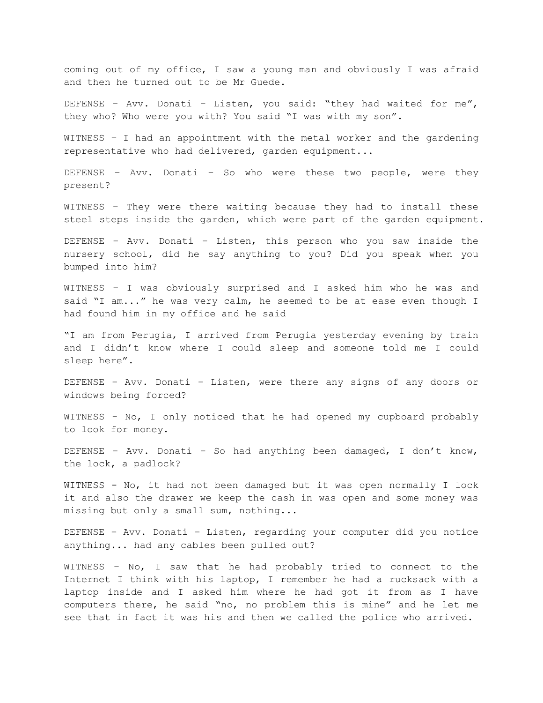coming out of my office, I saw a young man and obviously I was afraid and then he turned out to be Mr Guede.

DEFENSE – Avv. Donati – Listen, you said: "they had waited for me", they who? Who were you with? You said "I was with my son".

WITNESS – I had an appointment with the metal worker and the gardening representative who had delivered, garden equipment...

DEFENSE – Avv. Donati – So who were these two people, were they present?

WITNESS – They were there waiting because they had to install these steel steps inside the garden, which were part of the garden equipment.

DEFENSE – Avv. Donati – Listen, this person who you saw inside the nursery school, did he say anything to you? Did you speak when you bumped into him?

WITNESS – I was obviously surprised and I asked him who he was and said "I am..." he was very calm, he seemed to be at ease even though I had found him in my office and he said

"I am from Perugia, I arrived from Perugia yesterday evening by train and I didn't know where I could sleep and someone told me I could sleep here".

DEFENSE – Avv. Donati – Listen, were there any signs of any doors or windows being forced?

WITNESS - No, I only noticed that he had opened my cupboard probably to look for money.

DEFENSE – Avv. Donati – So had anything been damaged, I don't know, the lock, a padlock?

WITNESS - No, it had not been damaged but it was open normally I lock it and also the drawer we keep the cash in was open and some money was missing but only a small sum, nothing...

DEFENSE – Avv. Donati – Listen, regarding your computer did you notice anything... had any cables been pulled out?

WITNESS – No, I saw that he had probably tried to connect to the Internet I think with his laptop, I remember he had a rucksack with a laptop inside and I asked him where he had got it from as I have computers there, he said "no, no problem this is mine" and he let me see that in fact it was his and then we called the police who arrived.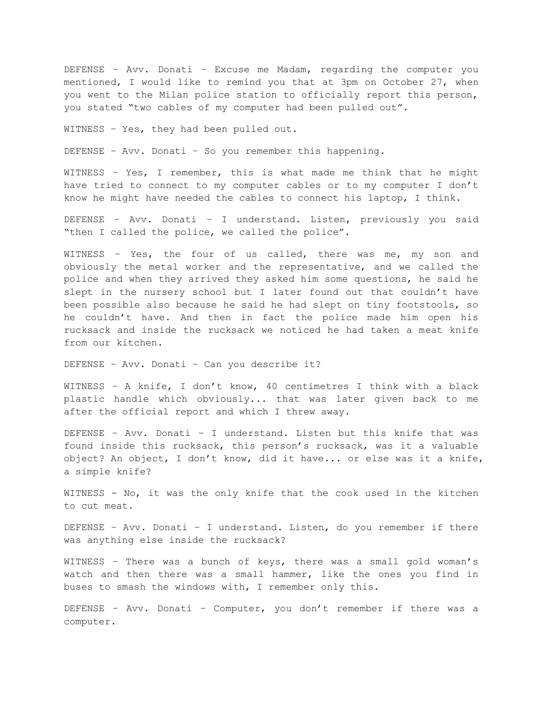DEFENSE – Avv. Donati – Excuse me Madam, regarding the computer you mentioned, I would like to remind you that at 3pm on October 27, when you went to the Milan police station to officially report this person, you stated "two cables of my computer had been pulled out".

WITNESS – Yes, they had been pulled out.

DEFENSE – Avv. Donati – So you remember this happening.

WITNESS – Yes, I remember, this is what made me think that he might have tried to connect to my computer cables or to my computer I don't know he might have needed the cables to connect his laptop, I think.

DEFENSE – Avv. Donati – I understand. Listen, previously you said "then I called the police, we called the police".

WITNESS – Yes, the four of us called, there was me, my son and obviously the metal worker and the representative, and we called the police and when they arrived they asked him some questions, he said he slept in the nursery school but I later found out that couldn't have been possible also because he said he had slept on tiny footstools, so he couldn't have. And then in fact the police made him open his rucksack and inside the rucksack we noticed he had taken a meat knife from our kitchen.

DEFENSE – Avv. Donati – Can you describe it?

WITNESS – A knife, I don't know, 40 centimetres I think with a black plastic handle which obviously... that was later given back to me after the official report and which I threw away.

DEFENSE – Avv. Donati – I understand. Listen but this knife that was found inside this rucksack, this person's rucksack, was it a valuable object? An object, I don't know, did it have... or else was it a knife, a simple knife?

WITNESS - No, it was the only knife that the cook used in the kitchen to cut meat.

DEFENSE – Avv. Donati – I understand. Listen, do you remember if there was anything else inside the rucksack?

WITNESS – There was a bunch of keys, there was a small gold woman's watch and then there was a small hammer, like the ones you find in buses to smash the windows with, I remember only this.

DEFENSE – Avv. Donati – Computer, you don't remember if there was a computer.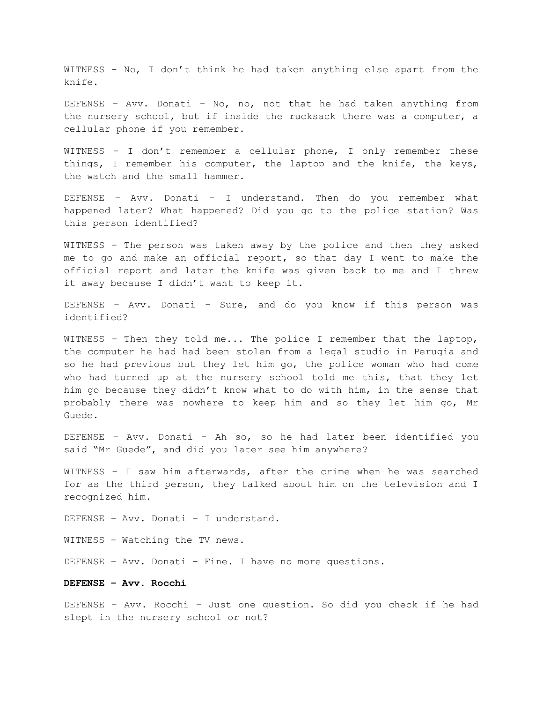WITNESS - No, I don't think he had taken anything else apart from the knife.

DEFENSE – Avv. Donati – No, no, not that he had taken anything from the nursery school, but if inside the rucksack there was a computer, a cellular phone if you remember.

WITNESS – I don't remember a cellular phone, I only remember these things, I remember his computer, the laptop and the knife, the keys, the watch and the small hammer.

DEFENSE – Avv. Donati – I understand. Then do you remember what happened later? What happened? Did you go to the police station? Was this person identified?

WITNESS – The person was taken away by the police and then they asked me to go and make an official report, so that day I went to make the official report and later the knife was given back to me and I threw it away because I didn't want to keep it.

DEFENSE - Avv. Donati - Sure, and do you know if this person was identified?

WITNESS - Then they told me... The police I remember that the laptop, the computer he had had been stolen from a legal studio in Perugia and so he had previous but they let him go, the police woman who had come who had turned up at the nursery school told me this, that they let him go because they didn't know what to do with him, in the sense that probably there was nowhere to keep him and so they let him go, Mr Guede.

DEFENSE – Avv. Donati - Ah so, so he had later been identified you said "Mr Guede", and did you later see him anywhere?

WITNESS – I saw him afterwards, after the crime when he was searched for as the third person, they talked about him on the television and I recognized him.

DEFENSE – Avv. Donati – I understand.

WITNESS – Watching the TV news.

DEFENSE - Avv. Donati - Fine. I have no more questions.

**DEFENSE – Avv. Rocchi**

DEFENSE – Avv. Rocchi – Just one question. So did you check if he had slept in the nursery school or not?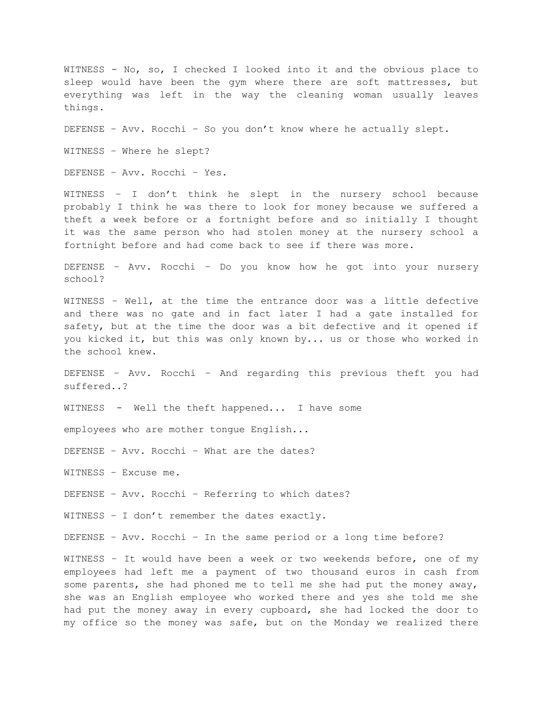WITNESS - No, so, I checked I looked into it and the obvious place to sleep would have been the gym where there are soft mattresses, but everything was left in the way the cleaning woman usually leaves things. DEFENSE – Avv. Rocchi – So you don't know where he actually slept. WITNESS – Where he slept? DEFENSE – Avv. Rocchi – Yes. WITNESS – I don't think he slept in the nursery school because probably I think he was there to look for money because we suffered a theft a week before or a fortnight before and so initially I thought it was the same person who had stolen money at the nursery school a fortnight before and had come back to see if there was more. DEFENSE – Avv. Rocchi – Do you know how he got into your nursery school? WITNESS – Well, at the time the entrance door was a little defective and there was no gate and in fact later I had a gate installed for safety, but at the time the door was a bit defective and it opened if you kicked it, but this was only known by... us or those who worked in the school knew. DEFENSE – Avv. Rocchi – And regarding this previous theft you had suffered..? WITNESS - Well the theft happened... I have some employees who are mother tongue English... DEFENSE – Avv. Rocchi – What are the dates? WITNESS – Excuse me. DEFENSE – Avv. Rocchi – Referring to which dates? WITNESS – I don't remember the dates exactly. DEFENSE – Avv. Rocchi – In the same period or a long time before? WITNESS – It would have been a week or two weekends before, one of my employees had left me a payment of two thousand euros in cash from some parents, she had phoned me to tell me she had put the money away, she was an English employee who worked there and yes she told me she had put the money away in every cupboard, she had locked the door to my office so the money was safe, but on the Monday we realized there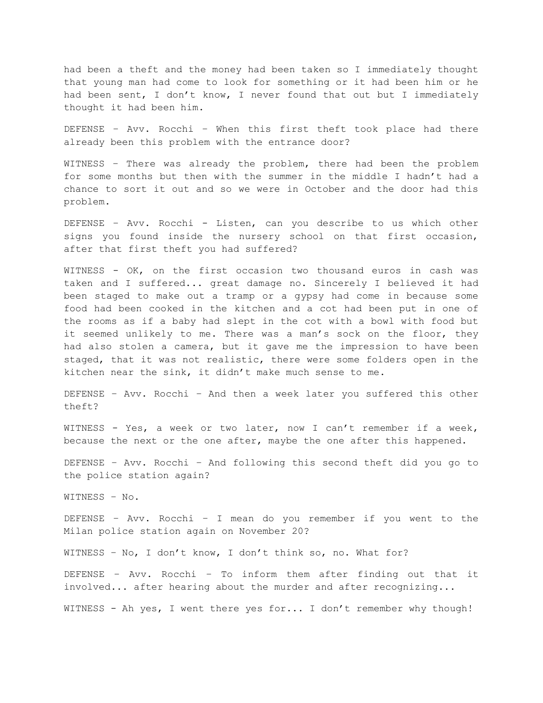had been a theft and the money had been taken so I immediately thought that young man had come to look for something or it had been him or he had been sent, I don't know, I never found that out but I immediately thought it had been him.

DEFENSE – Avv. Rocchi – When this first theft took place had there already been this problem with the entrance door?

WITNESS – There was already the problem, there had been the problem for some months but then with the summer in the middle I hadn't had a chance to sort it out and so we were in October and the door had this problem.

DEFENSE – Avv. Rocchi - Listen, can you describe to us which other signs you found inside the nursery school on that first occasion, after that first theft you had suffered?

WITNESS - OK, on the first occasion two thousand euros in cash was taken and I suffered... great damage no. Sincerely I believed it had been staged to make out a tramp or a gypsy had come in because some food had been cooked in the kitchen and a cot had been put in one of the rooms as if a baby had slept in the cot with a bowl with food but it seemed unlikely to me. There was a man's sock on the floor, they had also stolen a camera, but it gave me the impression to have been staged, that it was not realistic, there were some folders open in the kitchen near the sink, it didn't make much sense to me.

DEFENSE – Avv. Rocchi – And then a week later you suffered this other theft?

WITNESS - Yes, a week or two later, now I can't remember if a week, because the next or the one after, maybe the one after this happened.

DEFENSE – Avv. Rocchi – And following this second theft did you go to the police station again?

WITNESS – No.

DEFENSE – Avv. Rocchi – I mean do you remember if you went to the Milan police station again on November 20?

WITNESS – No, I don't know, I don't think so, no. What for?

DEFENSE – Avv. Rocchi – To inform them after finding out that it involved... after hearing about the murder and after recognizing...

WITNESS - Ah yes, I went there yes for... I don't remember why though!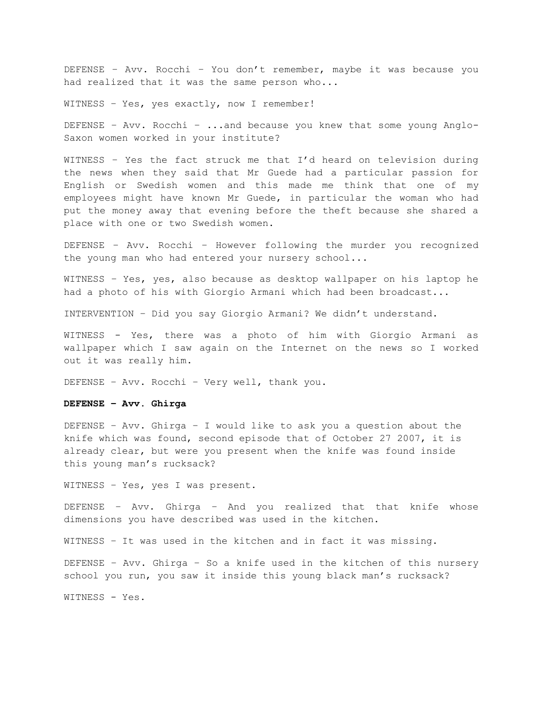DEFENSE – Avv. Rocchi – You don't remember, maybe it was because you had realized that it was the same person who...

WITNESS – Yes, yes exactly, now I remember!

DEFENSE – Avv. Rocchi – ...and because you knew that some young Anglo-Saxon women worked in your institute?

WITNESS – Yes the fact struck me that I'd heard on television during the news when they said that Mr Guede had a particular passion for English or Swedish women and this made me think that one of my employees might have known Mr Guede, in particular the woman who had put the money away that evening before the theft because she shared a place with one or two Swedish women.

DEFENSE – Avv. Rocchi – However following the murder you recognized the young man who had entered your nursery school...

WITNESS – Yes, yes, also because as desktop wallpaper on his laptop he had a photo of his with Giorgio Armani which had been broadcast...

INTERVENTION – Did you say Giorgio Armani? We didn't understand.

WITNESS - Yes, there was a photo of him with Giorgio Armani as wallpaper which I saw again on the Internet on the news so I worked out it was really him.

DEFENSE – Avv. Rocchi – Very well, thank you.

#### **DEFENSE – Avv. Ghirga**

DEFENSE – Avv. Ghirga – I would like to ask you a question about the knife which was found, second episode that of October 27 2007, it is already clear, but were you present when the knife was found inside this young man's rucksack?

WITNESS – Yes, yes I was present.

DEFENSE – Avv. Ghirga – And you realized that that knife whose dimensions you have described was used in the kitchen.

WITNESS – It was used in the kitchen and in fact it was missing.

DEFENSE – Avv. Ghirga – So a knife used in the kitchen of this nursery school you run, you saw it inside this young black man's rucksack?

WITNESS - Yes.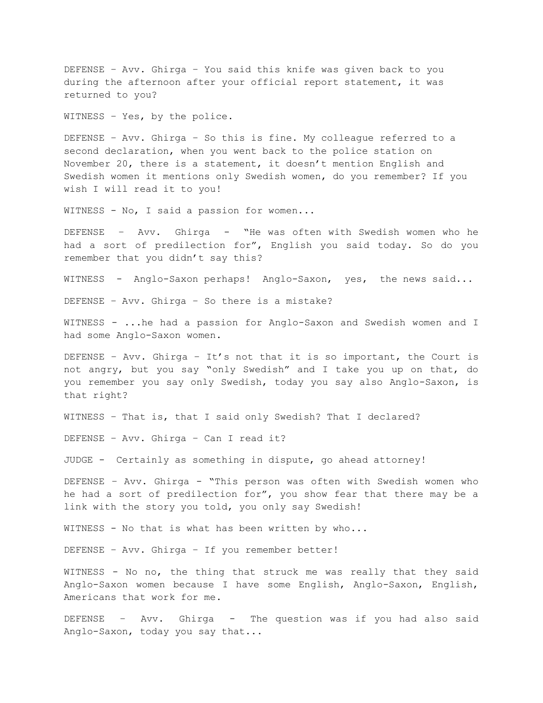DEFENSE – Avv. Ghirga – You said this knife was given back to you during the afternoon after your official report statement, it was returned to you?

WITNESS – Yes, by the police.

DEFENSE – Avv. Ghirga – So this is fine. My colleague referred to a second declaration, when you went back to the police station on November 20, there is a statement, it doesn't mention English and Swedish women it mentions only Swedish women, do you remember? If you wish I will read it to you!

WITNESS - No, I said a passion for women...

DEFENSE – Avv. Ghirga - "He was often with Swedish women who he had a sort of predilection for", English you said today. So do you remember that you didn't say this?

WITNESS - Anglo-Saxon perhaps! Anglo-Saxon, yes, the news said...

DEFENSE – Avv. Ghirga – So there is a mistake?

WITNESS - ...he had a passion for Anglo-Saxon and Swedish women and I had some Anglo-Saxon women.

DEFENSE - Avv. Ghirga - It's not that it is so important, the Court is not angry, but you say "only Swedish" and I take you up on that, do you remember you say only Swedish, today you say also Anglo-Saxon, is that right?

WITNESS – That is, that I said only Swedish? That I declared?

DEFENSE – Avv. Ghirga – Can I read it?

JUDGE - Certainly as something in dispute, go ahead attorney!

DEFENSE – Avv. Ghirga - "This person was often with Swedish women who he had a sort of predilection for", you show fear that there may be a link with the story you told, you only say Swedish!

WITNESS - No that is what has been written by who...

DEFENSE – Avv. Ghirga – If you remember better!

WITNESS - No no, the thing that struck me was really that they said Anglo-Saxon women because I have some English, Anglo-Saxon, English, Americans that work for me.

DEFENSE – Avv. Ghirga - The question was if you had also said Anglo-Saxon, today you say that...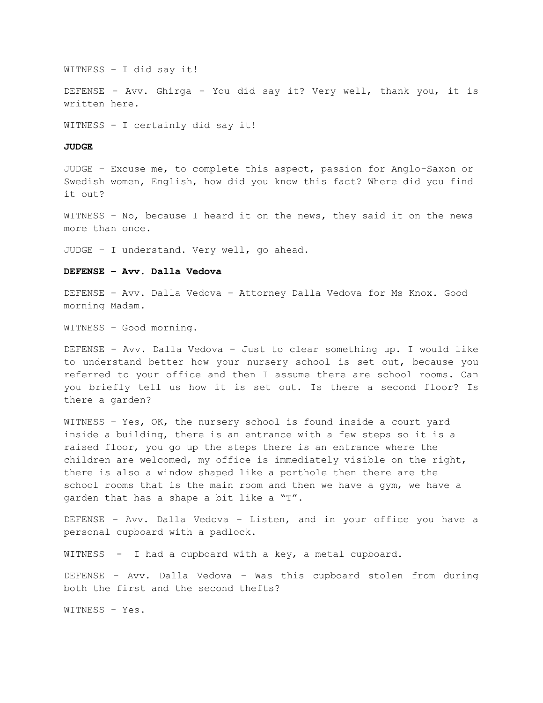WITNESS – I did say it!

DEFENSE – Avv. Ghirga – You did say it? Very well, thank you, it is written here.

WITNESS – I certainly did say it!

#### **JUDGE**

JUDGE – Excuse me, to complete this aspect, passion for Anglo-Saxon or Swedish women, English, how did you know this fact? Where did you find it out?

WITNESS – No, because I heard it on the news, they said it on the news more than once.

JUDGE – I understand. Very well, go ahead.

# **DEFENSE – Avv. Dalla Vedova**

DEFENSE – Avv. Dalla Vedova – Attorney Dalla Vedova for Ms Knox. Good morning Madam.

WITNESS – Good morning.

DEFENSE – Avv. Dalla Vedova – Just to clear something up. I would like to understand better how your nursery school is set out, because you referred to your office and then I assume there are school rooms. Can you briefly tell us how it is set out. Is there a second floor? Is there a garden?

WITNESS – Yes, OK, the nursery school is found inside a court yard inside a building, there is an entrance with a few steps so it is a raised floor, you go up the steps there is an entrance where the children are welcomed, my office is immediately visible on the right, there is also a window shaped like a porthole then there are the school rooms that is the main room and then we have a gym, we have a garden that has a shape a bit like a "T".

DEFENSE – Avv. Dalla Vedova – Listen, and in your office you have a personal cupboard with a padlock.

WITNESS - I had a cupboard with a key, a metal cupboard.

DEFENSE – Avv. Dalla Vedova – Was this cupboard stolen from during both the first and the second thefts?

WITNESS - Yes.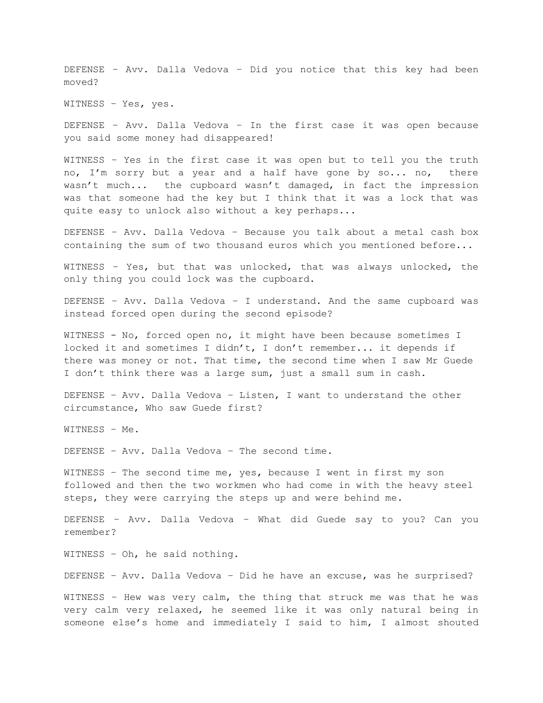DEFENSE – Avv. Dalla Vedova – Did you notice that this key had been moved?

WITNESS – Yes, yes.

DEFENSE – Avv. Dalla Vedova – In the first case it was open because you said some money had disappeared!

WITNESS – Yes in the first case it was open but to tell you the truth no, I'm sorry but a year and a half have gone by so... no, there wasn't much... the cupboard wasn't damaged, in fact the impression was that someone had the key but I think that it was a lock that was quite easy to unlock also without a key perhaps...

DEFENSE – Avv. Dalla Vedova – Because you talk about a metal cash box containing the sum of two thousand euros which you mentioned before...

WITNESS – Yes, but that was unlocked, that was always unlocked, the only thing you could lock was the cupboard.

DEFENSE – Avv. Dalla Vedova – I understand. And the same cupboard was instead forced open during the second episode?

WITNESS - No, forced open no, it might have been because sometimes I locked it and sometimes I didn't, I don't remember... it depends if there was money or not. That time, the second time when I saw Mr Guede I don't think there was a large sum, just a small sum in cash.

DEFENSE – Avv. Dalla Vedova – Listen, I want to understand the other circumstance, Who saw Guede first?

WITNESS – Me.

DEFENSE – Avv. Dalla Vedova – The second time.

WITNESS – The second time me, yes, because I went in first my son followed and then the two workmen who had come in with the heavy steel steps, they were carrying the steps up and were behind me.

DEFENSE – Avv. Dalla Vedova – What did Guede say to you? Can you remember?

WITNESS – Oh, he said nothing.

DEFENSE – Avv. Dalla Vedova – Did he have an excuse, was he surprised?

WITNESS – Hew was very calm, the thing that struck me was that he was very calm very relaxed, he seemed like it was only natural being in someone else's home and immediately I said to him, I almost shouted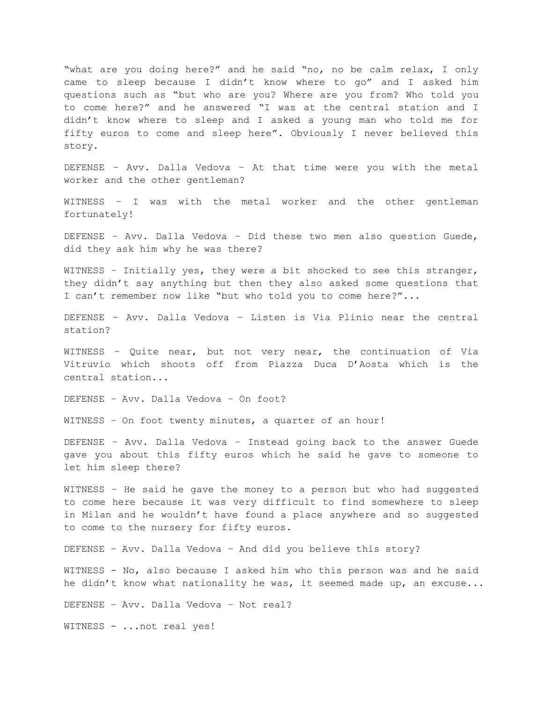"what are you doing here?" and he said "no, no be calm relax, I only came to sleep because I didn't know where to go" and I asked him questions such as "but who are you? Where are you from? Who told you to come here?" and he answered "I was at the central station and I didn't know where to sleep and I asked a young man who told me for fifty euros to come and sleep here". Obviously I never believed this story.

DEFENSE – Avv. Dalla Vedova – At that time were you with the metal worker and the other gentleman?

WITNESS – I was with the metal worker and the other gentleman fortunately!

DEFENSE – Avv. Dalla Vedova – Did these two men also question Guede, did they ask him why he was there?

WITNESS - Initially yes, they were a bit shocked to see this stranger, they didn't say anything but then they also asked some questions that I can't remember now like "but who told you to come here?"...

DEFENSE – Avv. Dalla Vedova – Listen is Via Plinio near the central station?

WITNESS – Quite near, but not very near, the continuation of Via Vitruvio which shoots off from Piazza Duca D'Aosta which is the central station...

DEFENSE – Avv. Dalla Vedova – On foot?

WITNESS – On foot twenty minutes, a quarter of an hour!

DEFENSE – Avv. Dalla Vedova – Instead going back to the answer Guede gave you about this fifty euros which he said he gave to someone to let him sleep there?

WITNESS – He said he gave the money to a person but who had suggested to come here because it was very difficult to find somewhere to sleep in Milan and he wouldn't have found a place anywhere and so suggested to come to the nursery for fifty euros.

DEFENSE – Avv. Dalla Vedova – And did you believe this story?

WITNESS - No, also because I asked him who this person was and he said he didn't know what nationality he was, it seemed made up, an excuse...

DEFENSE – Avv. Dalla Vedova – Not real?

WITNESS - ...not real yes!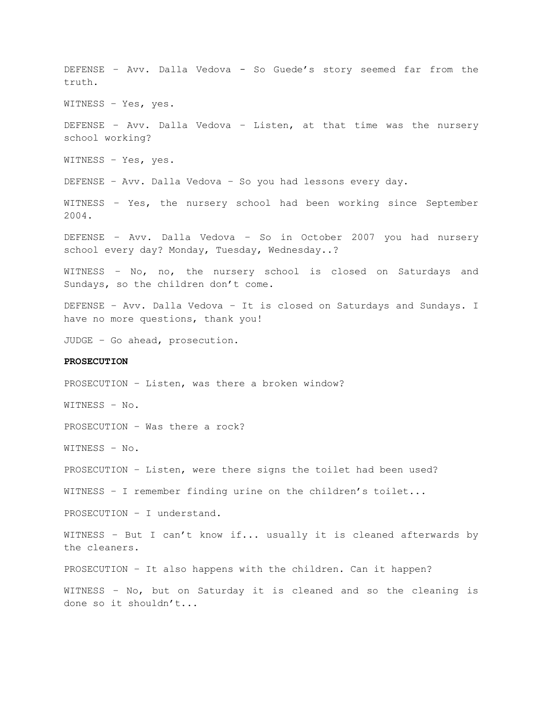DEFENSE – Avv. Dalla Vedova - So Guede's story seemed far from the truth. WITNESS – Yes, yes. DEFENSE – Avv. Dalla Vedova – Listen, at that time was the nursery school working? WITNESS – Yes, yes. DEFENSE – Avv. Dalla Vedova – So you had lessons every day. WITNESS – Yes, the nursery school had been working since September 2004. DEFENSE – Avv. Dalla Vedova – So in October 2007 you had nursery school every day? Monday, Tuesday, Wednesday..? WITNESS – No, no, the nursery school is closed on Saturdays and Sundays, so the children don't come. DEFENSE – Avv. Dalla Vedova – It is closed on Saturdays and Sundays. I have no more questions, thank you! JUDGE – Go ahead, prosecution. **PROSECUTION** PROSECUTION – Listen, was there a broken window? WITNESS – No. PROSECUTION – Was there a rock? WITNESS – No. PROSECUTION – Listen, were there signs the toilet had been used? WITNESS – I remember finding urine on the children's toilet... PROSECUTION – I understand. WITNESS – But I can't know if... usually it is cleaned afterwards by the cleaners. PROSECUTION – It also happens with the children. Can it happen? WITNESS – No, but on Saturday it is cleaned and so the cleaning is done so it shouldn't...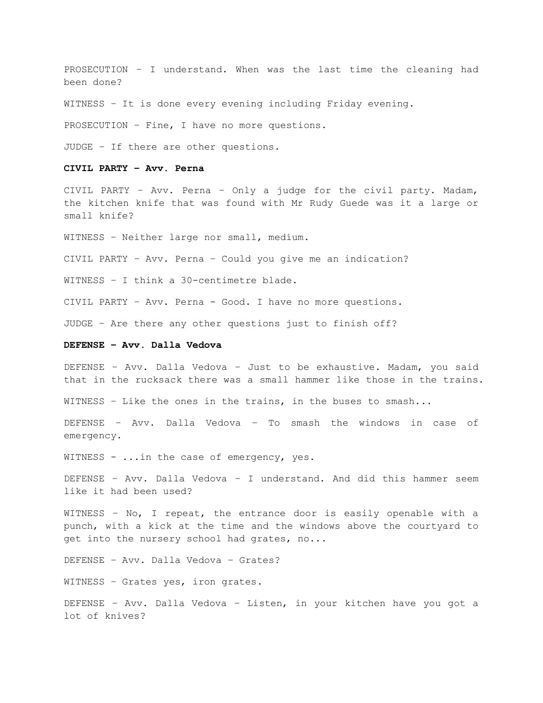PROSECUTION – I understand. When was the last time the cleaning had been done?

WITNESS – It is done every evening including Friday evening.

PROSECUTION – Fine, I have no more questions.

JUDGE – If there are other questions.

#### **CIVIL PARTY – Avv. Perna**

CIVIL PARTY – Avv. Perna – Only a judge for the civil party. Madam, the kitchen knife that was found with Mr Rudy Guede was it a large or small knife?

WITNESS – Neither large nor small, medium.

CIVIL PARTY – Avv. Perna – Could you give me an indication?

WITNESS – I think a 30-centimetre blade.

CIVIL PARTY – Avv. Perna - Good. I have no more questions.

JUDGE – Are there any other questions just to finish off?

### **DEFENSE – Avv. Dalla Vedova**

DEFENSE – Avv. Dalla Vedova – Just to be exhaustive. Madam, you said that in the rucksack there was a small hammer like those in the trains.

WITNESS – Like the ones in the trains, in the buses to smash...

DEFENSE – Avv. Dalla Vedova – To smash the windows in case of emergency.

WITNESS - ...in the case of emergency, yes.

DEFENSE – Avv. Dalla Vedova – I understand. And did this hammer seem like it had been used?

WITNESS – No, I repeat, the entrance door is easily openable with a punch, with a kick at the time and the windows above the courtyard to get into the nursery school had grates, no...

DEFENSE – Avv. Dalla Vedova – Grates?

WITNESS – Grates yes, iron grates.

DEFENSE – Avv. Dalla Vedova – Listen, in your kitchen have you got a lot of knives?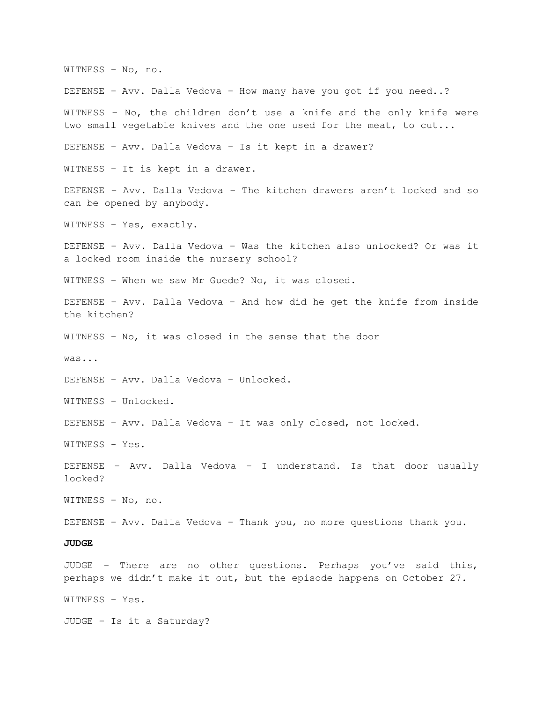WITNESS – No, no. DEFENSE – Avv. Dalla Vedova – How many have you got if you need..? WITNESS – No, the children don't use a knife and the only knife were two small vegetable knives and the one used for the meat, to cut... DEFENSE – Avv. Dalla Vedova – Is it kept in a drawer? WITNESS – It is kept in a drawer. DEFENSE – Avv. Dalla Vedova – The kitchen drawers aren't locked and so can be opened by anybody. WITNESS – Yes, exactly. DEFENSE – Avv. Dalla Vedova – Was the kitchen also unlocked? Or was it a locked room inside the nursery school? WITNESS – When we saw Mr Guede? No, it was closed. DEFENSE – Avv. Dalla Vedova – And how did he get the knife from inside the kitchen? WITNESS – No, it was closed in the sense that the door was... DEFENSE – Avv. Dalla Vedova – Unlocked. WITNESS – Unlocked. DEFENSE – Avv. Dalla Vedova – It was only closed, not locked. WITNESS - Yes. DEFENSE – Avv. Dalla Vedova – I understand. Is that door usually locked? WITNESS – No, no. DEFENSE – Avv. Dalla Vedova – Thank you, no more questions thank you. **JUDGE** JUDGE – There are no other questions. Perhaps you've said this, perhaps we didn't make it out, but the episode happens on October 27. WITNESS – Yes. JUDGE – Is it a Saturday?